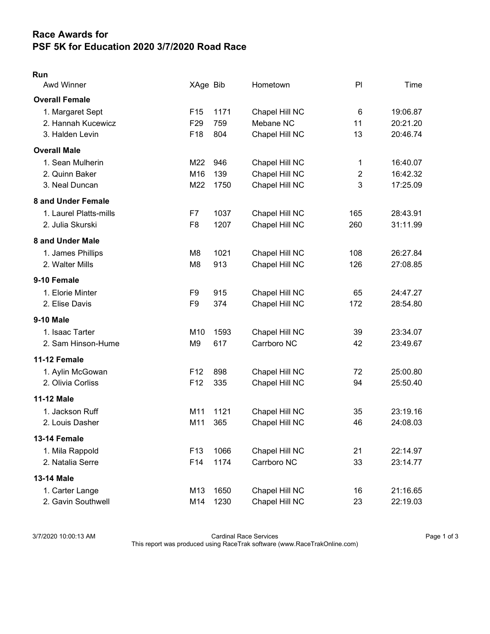## Race Awards for PSF 5K for Education 2020 3/7/2020 Road Race

## Run

| Awd Winner             | XAge Bib        |      | Hometown       | PI             | Time     |
|------------------------|-----------------|------|----------------|----------------|----------|
| <b>Overall Female</b>  |                 |      |                |                |          |
| 1. Margaret Sept       | F <sub>15</sub> | 1171 | Chapel Hill NC | $\,6$          | 19:06.87 |
| 2. Hannah Kucewicz     | F <sub>29</sub> | 759  | Mebane NC      | 11             | 20:21.20 |
| 3. Halden Levin        | F18             | 804  | Chapel Hill NC | 13             | 20:46.74 |
| <b>Overall Male</b>    |                 |      |                |                |          |
| 1. Sean Mulherin       | M22             | 946  | Chapel Hill NC | 1              | 16:40.07 |
| 2. Quinn Baker         | M16             | 139  | Chapel Hill NC | $\overline{c}$ | 16:42.32 |
| 3. Neal Duncan         | M22             | 1750 | Chapel Hill NC | 3              | 17:25.09 |
| 8 and Under Female     |                 |      |                |                |          |
| 1. Laurel Platts-mills | F7              | 1037 | Chapel Hill NC | 165            | 28:43.91 |
| 2. Julia Skurski       | F <sub>8</sub>  | 1207 | Chapel Hill NC | 260            | 31:11.99 |
| 8 and Under Male       |                 |      |                |                |          |
| 1. James Phillips      | M8              | 1021 | Chapel Hill NC | 108            | 26:27.84 |
| 2. Walter Mills        | M <sub>8</sub>  | 913  | Chapel Hill NC | 126            | 27:08.85 |
| 9-10 Female            |                 |      |                |                |          |
| 1. Elorie Minter       | F <sub>9</sub>  | 915  | Chapel Hill NC | 65             | 24:47.27 |
| 2. Elise Davis         | F <sub>9</sub>  | 374  | Chapel Hill NC | 172            | 28:54.80 |
| <b>9-10 Male</b>       |                 |      |                |                |          |
| 1. Isaac Tarter        | M <sub>10</sub> | 1593 | Chapel Hill NC | 39             | 23:34.07 |
| 2. Sam Hinson-Hume     | M <sub>9</sub>  | 617  | Carrboro NC    | 42             | 23:49.67 |
| 11-12 Female           |                 |      |                |                |          |
| 1. Aylin McGowan       | F <sub>12</sub> | 898  | Chapel Hill NC | 72             | 25:00.80 |
| 2. Olivia Corliss      | F12             | 335  | Chapel Hill NC | 94             | 25:50.40 |
| <b>11-12 Male</b>      |                 |      |                |                |          |
| 1. Jackson Ruff        | M11             | 1121 | Chapel Hill NC | 35             | 23:19.16 |
| 2. Louis Dasher        | M11             | 365  | Chapel Hill NC | 46             | 24:08.03 |
| 13-14 Female           |                 |      |                |                |          |
| 1. Mila Rappold        | F <sub>13</sub> | 1066 | Chapel Hill NC | 21             | 22:14.97 |
| 2. Natalia Serre       | F14             | 1174 | Carrboro NC    | 33             | 23:14.77 |
| 13-14 Male             |                 |      |                |                |          |
| 1. Carter Lange        | M13             | 1650 | Chapel Hill NC | 16             | 21:16.65 |
| 2. Gavin Southwell     | M14             | 1230 | Chapel Hill NC | 23             | 22:19.03 |

3/7/2020 10:00:13 AM Cardinal Race Services Page 1 of 3 This report was produced using RaceTrak software (www.RaceTrakOnline.com)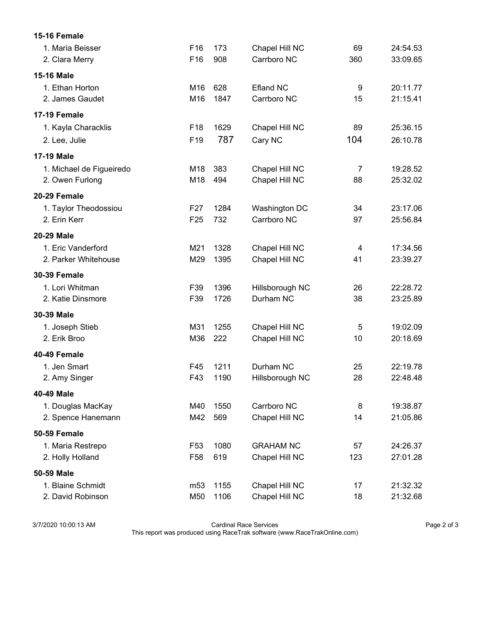| 15-16 Female             |                 |      |                  |                         |          |
|--------------------------|-----------------|------|------------------|-------------------------|----------|
| 1. Maria Beisser         | F <sub>16</sub> | 173  | Chapel Hill NC   | 69                      | 24:54.53 |
| 2. Clara Merry           | F16             | 908  | Carrboro NC      | 360                     | 33:09.65 |
| <b>15-16 Male</b>        |                 |      |                  |                         |          |
| 1. Ethan Horton          | M <sub>16</sub> | 628  | <b>Efland NC</b> | 9                       | 20:11.77 |
| 2. James Gaudet          | M16             | 1847 | Carrboro NC      | 15                      | 21:15.41 |
| <b>17-19 Female</b>      |                 |      |                  |                         |          |
| 1. Kayla Characklis      | F <sub>18</sub> | 1629 | Chapel Hill NC   | 89                      | 25:36.15 |
| 2. Lee, Julie            | F <sub>19</sub> | 787  | Cary NC          | 104                     | 26:10.78 |
| <b>17-19 Male</b>        |                 |      |                  |                         |          |
| 1. Michael de Figueiredo | M18             | 383  | Chapel Hill NC   | $\overline{7}$          | 19:28.52 |
| 2. Owen Furlong          | M18             | 494  | Chapel Hill NC   | 88                      | 25:32.02 |
| 20-29 Female             |                 |      |                  |                         |          |
| 1. Taylor Theodossiou    | F <sub>27</sub> | 1284 | Washington DC    | 34                      | 23:17.06 |
| 2. Erin Kerr             | F <sub>25</sub> | 732  | Carrboro NC      | 97                      | 25:56.84 |
| <b>20-29 Male</b>        |                 |      |                  |                         |          |
| 1. Eric Vanderford       | M21             | 1328 | Chapel Hill NC   | $\overline{\mathbf{4}}$ | 17:34.56 |
| 2. Parker Whitehouse     | M29             | 1395 | Chapel Hill NC   | 41                      | 23:39.27 |
| <b>30-39 Female</b>      |                 |      |                  |                         |          |
| 1. Lori Whitman          | F39             | 1396 | Hillsborough NC  | 26                      | 22:28.72 |
| 2. Katie Dinsmore        | F39             | 1726 | Durham NC        | 38                      | 23:25.89 |
| 30-39 Male               |                 |      |                  |                         |          |
| 1. Joseph Stieb          | M31             | 1255 | Chapel Hill NC   | 5                       | 19:02.09 |
| 2. Erik Broo             | M36             | 222  | Chapel Hill NC   | 10                      | 20:18.69 |
| 40-49 Female             |                 |      |                  |                         |          |
| 1. Jen Smart             | F45             | 1211 | Durham NC        | 25                      | 22:19.78 |
| 2. Amy Singer            | F43             | 1190 | Hillsborough NC  | 28                      | 22:48.48 |
| 40-49 Male               |                 |      |                  |                         |          |
| 1. Douglas MacKay        | M40             | 1550 | Carrboro NC      | 8                       | 19:38.87 |
| 2. Spence Hanemann       | M42             | 569  | Chapel Hill NC   | 14                      | 21:05.86 |
| 50-59 Female             |                 |      |                  |                         |          |
| 1. Maria Restrepo        | F <sub>53</sub> | 1080 | <b>GRAHAM NC</b> | 57                      | 24:26.37 |
| 2. Holly Holland         | F <sub>58</sub> | 619  | Chapel Hill NC   | 123                     | 27:01.28 |
| 50-59 Male               |                 |      |                  |                         |          |
| 1. Blaine Schmidt        | m <sub>53</sub> | 1155 | Chapel Hill NC   | 17                      | 21:32.32 |
| 2. David Robinson        | M50             | 1106 | Chapel Hill NC   | 18                      | 21:32.68 |

3/7/2020 10:00:13 AM Cardinal Race Services Page 2 of 3

This report was produced using RaceTrak software (www.RaceTrakOnline.com)